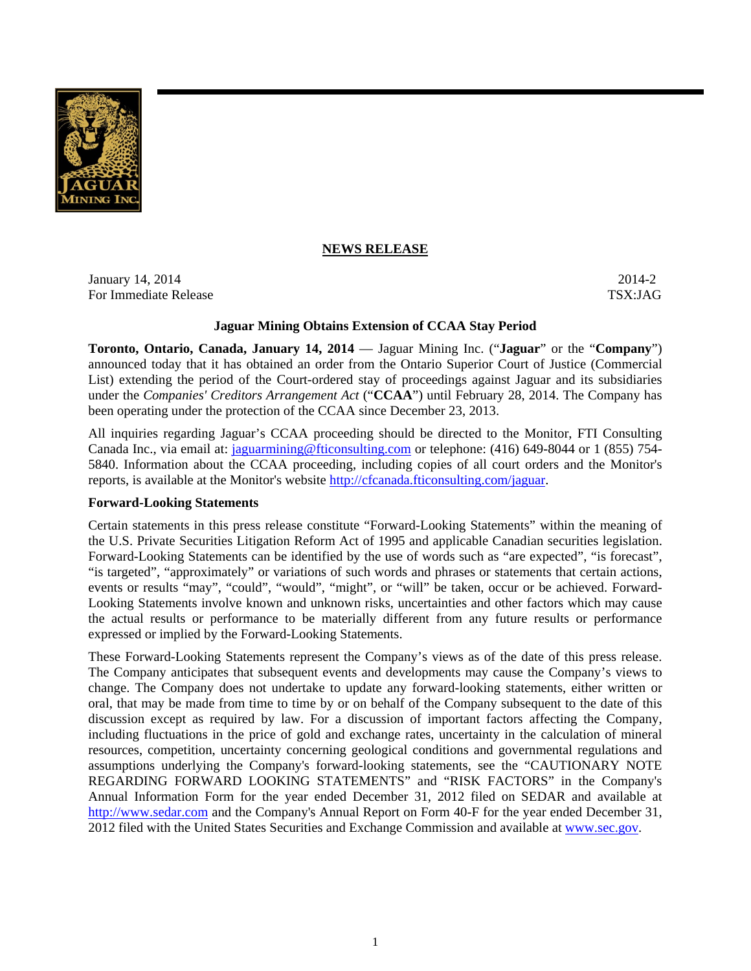

# **NEWS RELEASE**

**January 14, 2014** 2014-2 For Immediate Release TSX:JAG

### **Jaguar Mining Obtains Extension of CCAA Stay Period**

**Toronto, Ontario, Canada, January 14, 2014** — Jaguar Mining Inc. ("**Jaguar**" or the "**Company**") announced today that it has obtained an order from the Ontario Superior Court of Justice (Commercial List) extending the period of the Court-ordered stay of proceedings against Jaguar and its subsidiaries under the *Companies' Creditors Arrangement Act* ("**CCAA**") until February 28, 2014. The Company has been operating under the protection of the CCAA since December 23, 2013.

All inquiries regarding Jaguar's CCAA proceeding should be directed to the Monitor, FTI Consulting Canada Inc., via email at: *jaguarmining@fticonsulting.com* or telephone: (416) 649-8044 or 1 (855) 754-5840. Information about the CCAA proceeding, including copies of all court orders and the Monitor's reports, is available at the Monitor's website http://cfcanada.fticonsulting.com/jaguar.

## **Forward-Looking Statements**

Certain statements in this press release constitute "Forward-Looking Statements" within the meaning of the U.S. Private Securities Litigation Reform Act of 1995 and applicable Canadian securities legislation. Forward-Looking Statements can be identified by the use of words such as "are expected", "is forecast", "is targeted", "approximately" or variations of such words and phrases or statements that certain actions, events or results "may", "could", "would", "might", or "will" be taken, occur or be achieved. Forward-Looking Statements involve known and unknown risks, uncertainties and other factors which may cause the actual results or performance to be materially different from any future results or performance expressed or implied by the Forward-Looking Statements.

These Forward-Looking Statements represent the Company's views as of the date of this press release. The Company anticipates that subsequent events and developments may cause the Company's views to change. The Company does not undertake to update any forward-looking statements, either written or oral, that may be made from time to time by or on behalf of the Company subsequent to the date of this discussion except as required by law. For a discussion of important factors affecting the Company, including fluctuations in the price of gold and exchange rates, uncertainty in the calculation of mineral resources, competition, uncertainty concerning geological conditions and governmental regulations and assumptions underlying the Company's forward-looking statements, see the "CAUTIONARY NOTE REGARDING FORWARD LOOKING STATEMENTS" and "RISK FACTORS" in the Company's Annual Information Form for the year ended December 31, 2012 filed on SEDAR and available at http://www.sedar.com and the Company's Annual Report on Form 40-F for the year ended December 31, 2012 filed with the United States Securities and Exchange Commission and available at www.sec.gov.